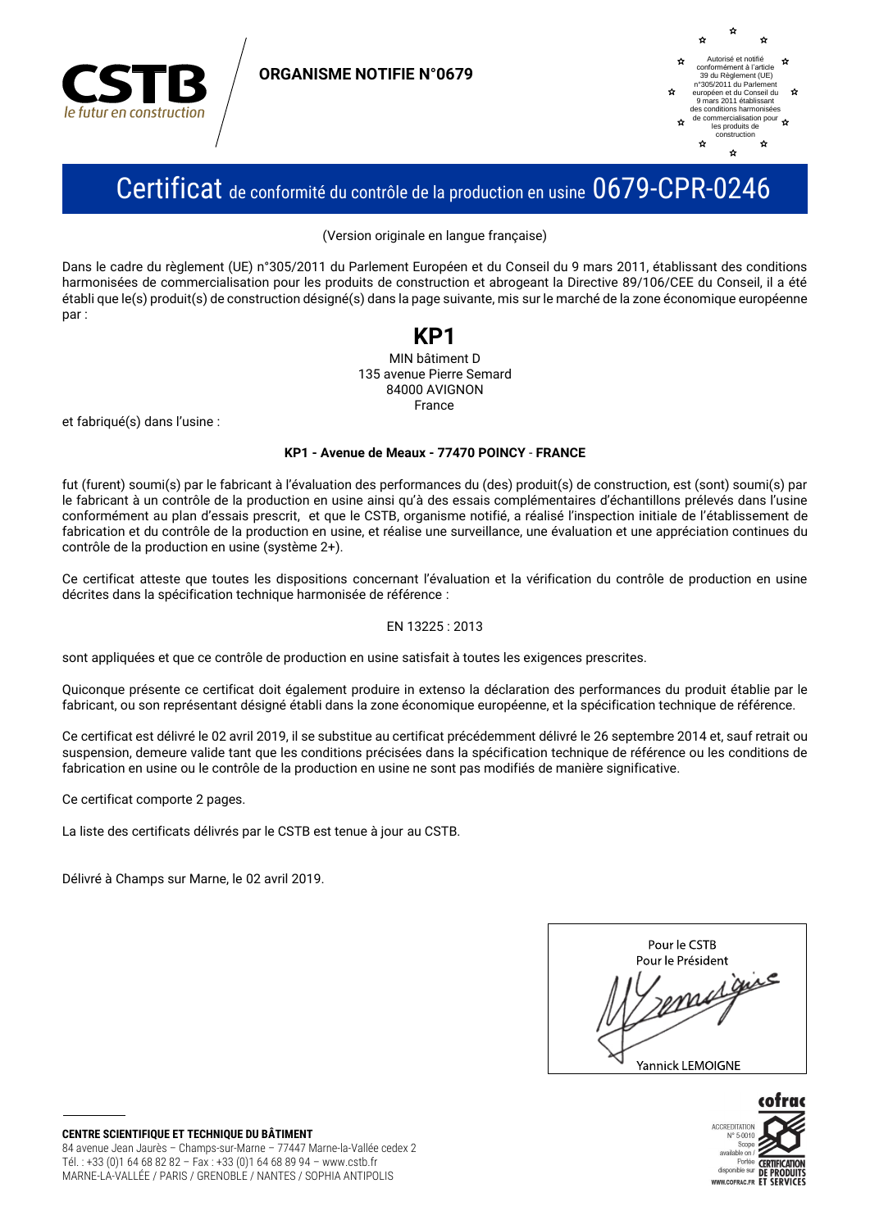

**ORGANISME NOTIFIE N°0679** 



## Certificat de conformité du contrôle de la production en usine 0679-CPR-0246

(Version originale en langue française)

Dans le cadre du règlement (UE) n°305/2011 du Parlement Européen et du Conseil du 9 mars 2011, établissant des conditions harmonisées de commercialisation pour les produits de construction et abrogeant la Directive 89/106/CEE du Conseil, il a été établi que le(s) produit(s) de construction désigné(s) dans la page suivante, mis sur le marché de la zone économique européenne nar:

## KP1

MIN bâtiment D 135 avenue Pierre Semard 84000 AVIGNON France

et fabriqué(s) dans l'usine :

#### KP1 - Avenue de Meaux - 77470 POINCY - FRANCE

fut (furent) soumi(s) par le fabricant à l'évaluation des performances du (des) produit(s) de construction, est (sont) soumi(s) par le fabricant à un contrôle de la production en usine ainsi qu'à des essais complémentaires d'échantillons prélevés dans l'usine conformément au plan d'essais prescrit, et que le CSTB, organisme notifié, a réalisé l'inspection initiale de l'établissement de fabrication et du contrôle de la production en usine, et réalise une surveillance, une évaluation et une appréciation continues du contrôle de la production en usine (système 2+).

Ce certificat atteste que toutes les dispositions concernant l'évaluation et la vérification du contrôle de production en usine décrites dans la spécification technique harmonisée de référence :

#### EN 13225: 2013

sont appliquées et que ce contrôle de production en usine satisfait à toutes les exigences prescrites.

Quiconque présente ce certificat doit également produire in extenso la déclaration des performances du produit établie par le fabricant, ou son représentant désigné établi dans la zone économique européenne, et la spécification technique de référence.

Ce certificat est délivré le 02 avril 2019, il se substitue au certificat précédemment délivré le 26 septembre 2014 et, sauf retrait ou suspension, demeure valide tant que les conditions précisées dans la spécification technique de référence ou les conditions de fabrication en usine ou le contrôle de la production en usine ne sont pas modifiés de manière significative.

Ce certificat comporte 2 pages.

La liste des certificats délivrés par le CSTB est tenue à jour au CSTB.

Délivré à Champs sur Marne, le 02 avril 2019.

| Pour le CSTB      |
|-------------------|
| Pour le Président |
| $r^e$             |
| Yannick LEMOIGNE  |

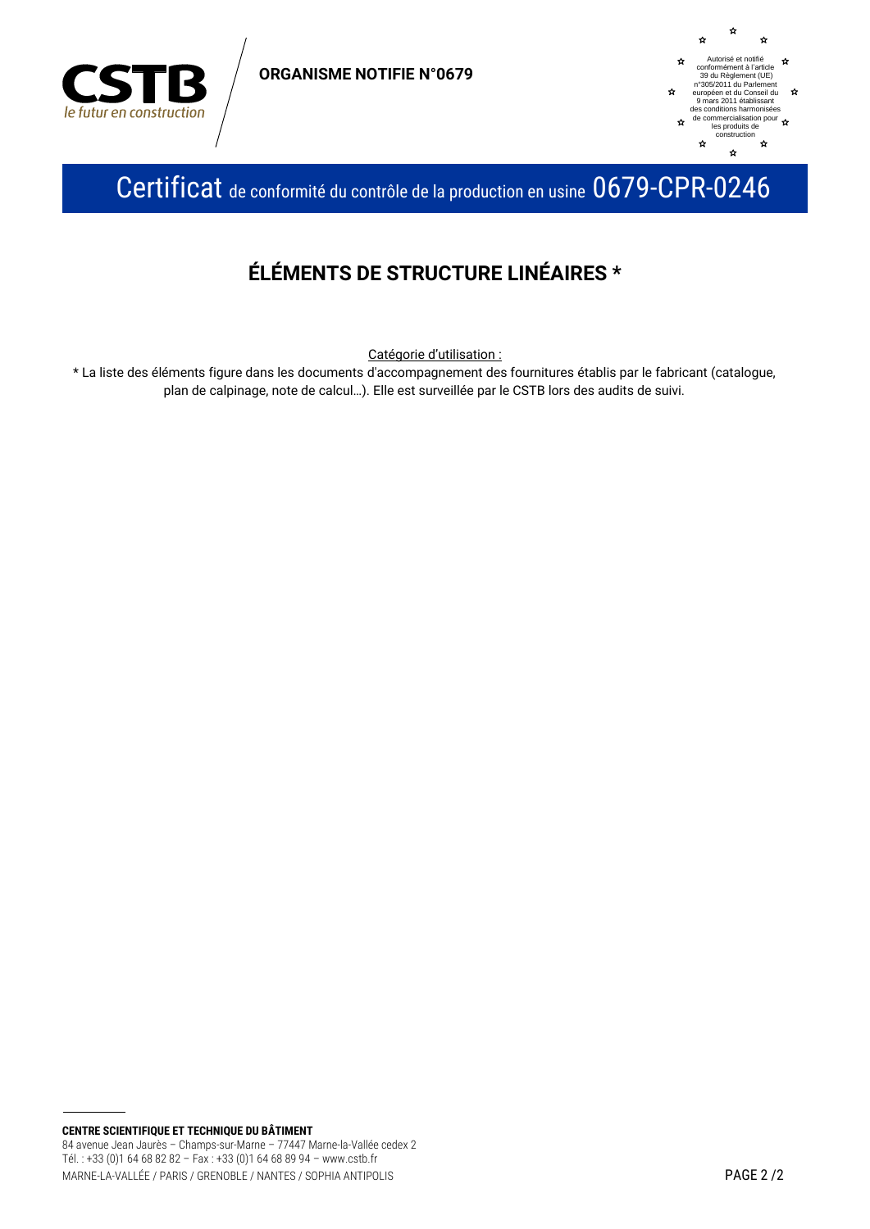

**ORGANISME NOTIFIE N°0679** 



Certificat de conformité du contrôle de la production en usine 0679-CPR-0246

### ÉLÉMENTS DE STRUCTURE LINÉAIRES \*

Catégorie d'utilisation :

\* La liste des éléments figure dans les documents d'accompagnement des fournitures établis par le fabricant (catalogue, plan de calpinage, note de calcul...). Elle est surveillée par le CSTB lors des audits de suivi.

CENTRE SCIENTIFIQUE ET TECHNIQUE DU BÂTIMENT 84 avenue Jean Jaurès - Champs-sur-Marne - 77447 Marne-la-Vallée cedex 2 Tél.: +33 (0)1 64 68 82 82 - Fax: +33 (0)1 64 68 89 94 - www.cstb.fr MARNE-LA-VALLÉE / PARIS / GRENOBLE / NANTES / SOPHIA ANTIPOLIS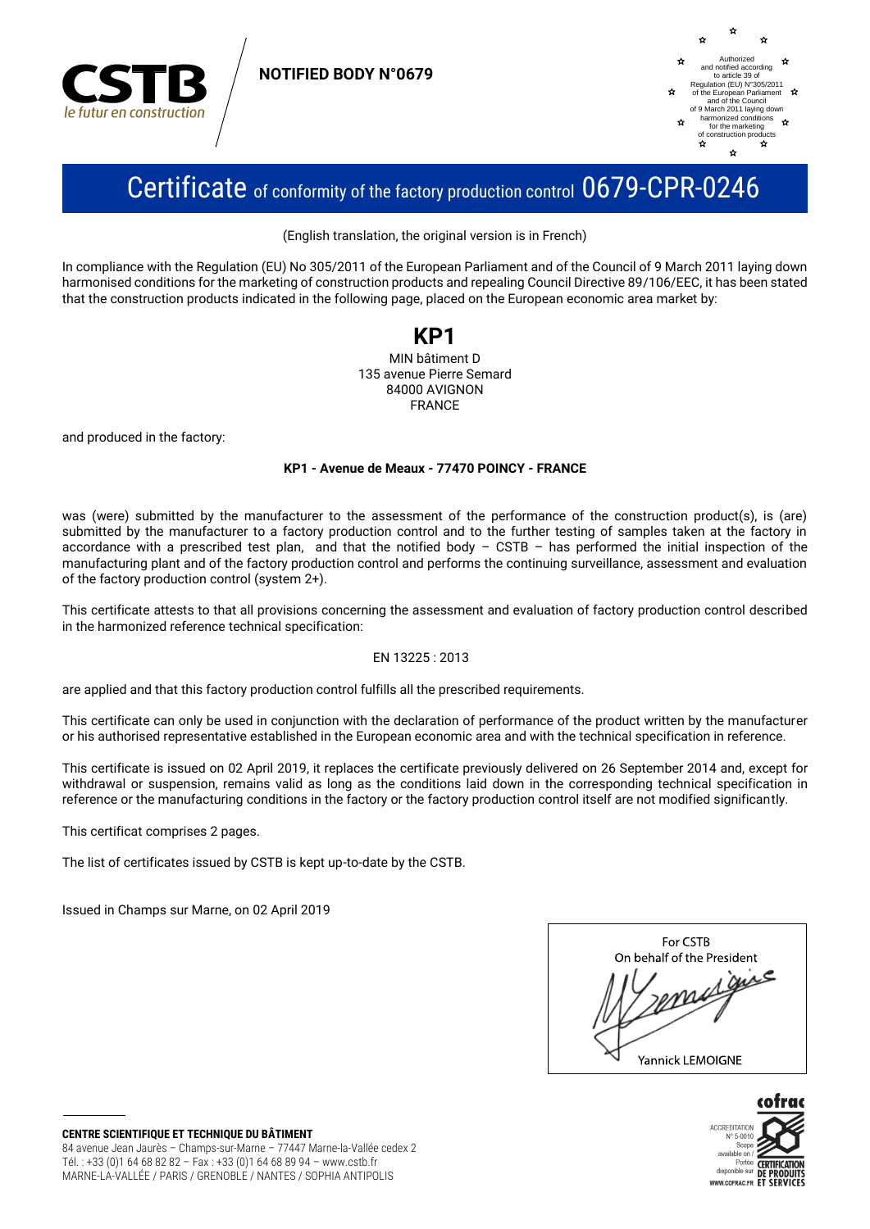

**NOTIFIED BODY N°0679**



## Certificate of conformity of the factory production control 0679-CPR-0246

(English translation, the original version is in French)

In compliance with the Regulation (EU) No 305/2011 of the European Parliament and of the Council of 9 March 2011 laying down harmonised conditions for the marketing of construction products and repealing Council Directive 89/106/EEC, it has been stated that the construction products indicated in the following page, placed on the European economic area market by:

# **KP1**

MIN bâtiment D 135 avenue Pierre Semard 84000 AVIGNON FRANCE

and produced in the factory:

#### **KP1 - Avenue de Meaux - 77470 POINCY - FRANCE**

was (were) submitted by the manufacturer to the assessment of the performance of the construction product(s), is (are) submitted by the manufacturer to a factory production control and to the further testing of samples taken at the factory in accordance with a prescribed test plan, and that the notified body – CSTB – has performed the initial inspection of the manufacturing plant and of the factory production control and performs the continuing surveillance, assessment and evaluation of the factory production control (system 2+).

This certificate attests to that all provisions concerning the assessment and evaluation of factory production control described in the harmonized reference technical specification:

#### EN 13225 : 2013

are applied and that this factory production control fulfills all the prescribed requirements.

This certificate can only be used in conjunction with the declaration of performance of the product written by the manufacturer or his authorised representative established in the European economic area and with the technical specification in reference.

This certificate is issued on 02 April 2019, it replaces the certificate previously delivered on 26 September 2014 and, except for withdrawal or suspension, remains valid as long as the conditions laid down in the corresponding technical specification in reference or the manufacturing conditions in the factory or the factory production control itself are not modified significantly.

This certificat comprises 2 pages.

The list of certificates issued by CSTB is kept up-to-date by the CSTB.

Issued in Champs sur Marne, on 02 April 2019

| For CSTB                   |  |
|----------------------------|--|
| On behalf of the President |  |
| ℯ                          |  |
| Yannick LEMOIGNE           |  |



**CENTRE SCIENTIFIQUE ET TECHNIQUE DU BÂTIMENT** 84 avenue Jean Jaurès – Champs-sur-Marne – 77447 Marne-la-Vallée cedex 2 Tél. : +33 (0)1 64 68 82 82 – Fax : +33 (0)1 64 68 89 94 – www.cstb.fr MARNE-LA-VALLÉE / PARIS / GRENOBLE / NANTES / SOPHIA ANTIPOLIS